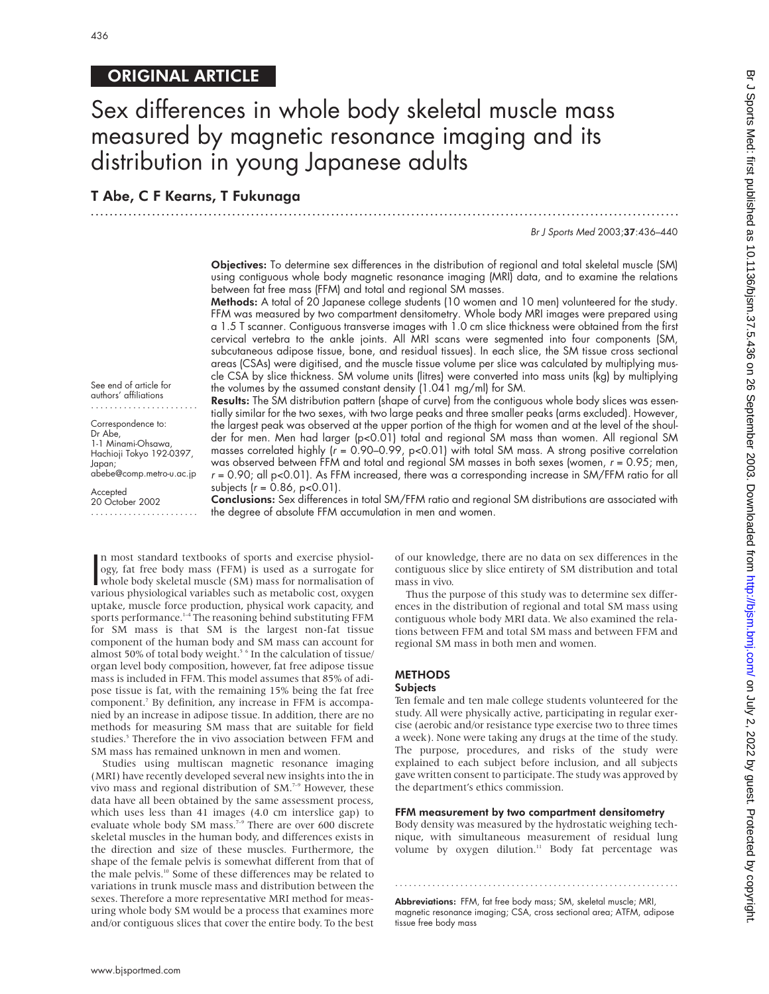## ORIGINAL ARTICLE

## Sex differences in whole body skeletal muscle mass measured by magnetic resonance imaging and its distribution in young Japanese adults

.............................................................................................................................

## T Abe, C F Kearns, T Fukunaga

Br J Sports Med 2003;37:436–440

Objectives: To determine sex differences in the distribution of regional and total skeletal muscle (SM) using contiguous whole body magnetic resonance imaging (MRI) data, and to examine the relations between fat free mass (FFM) and total and regional SM masses.

Methods: A total of 20 Japanese college students (10 women and 10 men) volunteered for the study. FFM was measured by two compartment densitometry. Whole body MRI images were prepared using a 1.5 T scanner. Contiguous transverse images with 1.0 cm slice thickness were obtained from the first cervical vertebra to the ankle joints. All MRI scans were segmented into four components (SM, subcutaneous adipose tissue, bone, and residual tissues). In each slice, the SM tissue cross sectional areas (CSAs) were digitised, and the muscle tissue volume per slice was calculated by multiplying muscle CSA by slice thickness. SM volume units (litres) were converted into mass units (kg) by multiplying the volumes by the assumed constant density (1.041 mg/ml) for SM.

See end of article for authors' affiliations .......................

Correspondence to: Dr Abe, 1-1 Minami-Ohsawa, Hachioji Tokyo 192-0397, Japan; abebe@comp.metro-u.ac.jp

**Accepted** 

20 October 2002 .......................

Results: The SM distribution pattern (shape of curve) from the contiguous whole body slices was essentially similar for the two sexes, with two large peaks and three smaller peaks (arms excluded). However, the largest peak was observed at the upper portion of the thigh for women and at the level of the shoulder for men. Men had larger (p<0.01) total and regional SM mass than women. All regional SM masses correlated highly ( $r = 0.90-0.99$ , p<0.01) with total SM mass. A strong positive correlation was observed between FFM and total and regional SM masses in both sexes (women,  $r = 0.95$ ; men,  $r = 0.90$ ; all p<0.01). As FFM increased, there was a corresponding increase in SM/FFM ratio for all subjects  $(r = 0.86, p < 0.01)$ .

Conclusions: Sex differences in total SM/FFM ratio and regional SM distributions are associated with the degree of absolute FFM accumulation in men and women.

n most standard textbooks of sports and exercise physiology, fat free body mass (FFM) is used as a surrogate for whole body skeletal muscle (SM) mass for normalisation of various physiological variables such as metabolic c n most standard textbooks of sports and exercise physiology, fat free body mass (FFM) is used as a surrogate for various physiological variables such as metabolic cost, oxygen uptake, muscle force production, physical work capacity, and sports performance.<sup>1-4</sup> The reasoning behind substituting FFM for SM mass is that SM is the largest non-fat tissue component of the human body and SM mass can account for almost 50% of total body weight.<sup>5 6</sup> In the calculation of tissue/ organ level body composition, however, fat free adipose tissue mass is included in FFM. This model assumes that 85% of adipose tissue is fat, with the remaining 15% being the fat free component.7 By definition, any increase in FFM is accompanied by an increase in adipose tissue. In addition, there are no methods for measuring SM mass that are suitable for field studies.<sup>5</sup> Therefore the in vivo association between FFM and SM mass has remained unknown in men and women.

Studies using multiscan magnetic resonance imaging (MRI) have recently developed several new insights into the in vivo mass and regional distribution of SM.<sup>7-9</sup> However, these data have all been obtained by the same assessment process, which uses less than 41 images (4.0 cm interslice gap) to evaluate whole body SM mass.<sup>7-9</sup> There are over 600 discrete skeletal muscles in the human body, and differences exists in the direction and size of these muscles. Furthermore, the shape of the female pelvis is somewhat different from that of the male pelvis.<sup>10</sup> Some of these differences may be related to variations in trunk muscle mass and distribution between the sexes. Therefore a more representative MRI method for measuring whole body SM would be a process that examines more and/or contiguous slices that cover the entire body. To the best

of our knowledge, there are no data on sex differences in the contiguous slice by slice entirety of SM distribution and total mass in vivo.

Thus the purpose of this study was to determine sex differences in the distribution of regional and total SM mass using contiguous whole body MRI data. We also examined the relations between FFM and total SM mass and between FFM and regional SM mass in both men and women.

#### METHODS

#### **Subjects**

Ten female and ten male college students volunteered for the study. All were physically active, participating in regular exercise (aerobic and/or resistance type exercise two to three times a week). None were taking any drugs at the time of the study. The purpose, procedures, and risks of the study were explained to each subject before inclusion, and all subjects gave written consent to participate. The study was approved by the department's ethics commission.

#### FFM measurement by two compartment densitometry

Body density was measured by the hydrostatic weighing technique, with simultaneous measurement of residual lung volume by oxygen dilution.<sup>11</sup> Body fat percentage was

Abbreviations: FFM, fat free body mass; SM, skeletal muscle; MRI, magnetic resonance imaging; CSA, cross sectional area; ATFM, adipose tissue free body mass

.............................................................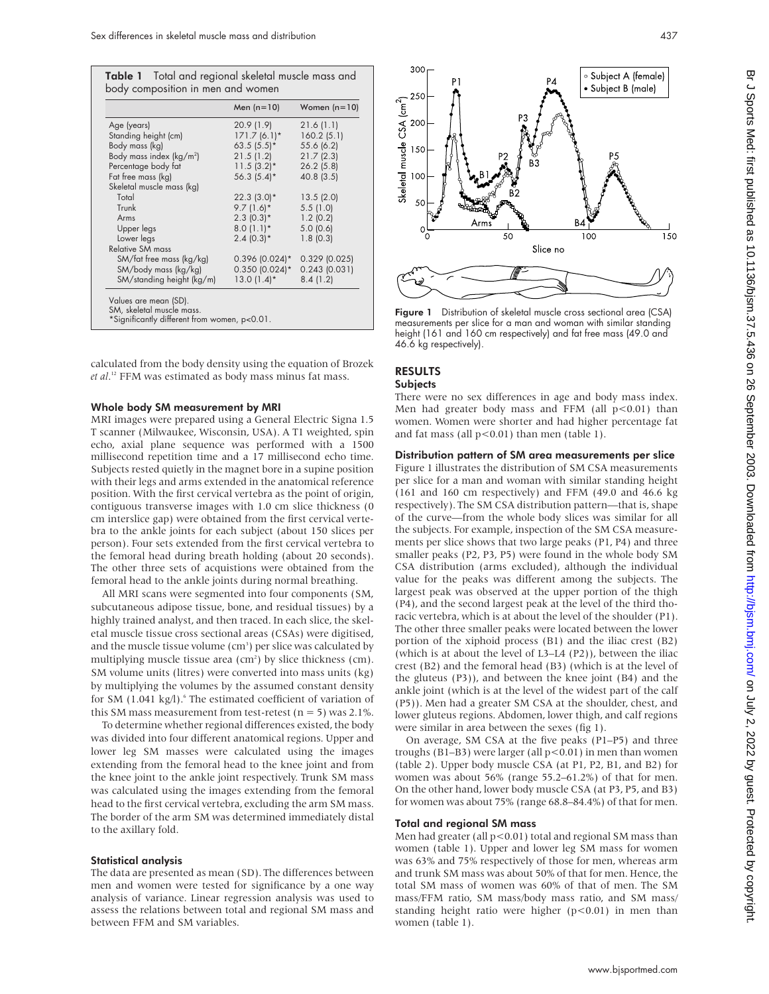|                                     | Men $(n=10)$     | Women $(n=10)$  |
|-------------------------------------|------------------|-----------------|
| Age (years)                         | 20.9(1.9)        | 21.6(1.1)       |
| Standing height (cm)                | $171.7(6.1)$ *   | 160.2(5.1)      |
| Body mass (kg)                      | $63.5(5.5)^*$    | 55.6 (6.2)      |
| Body mass index ( $\text{kg/m}^2$ ) | 21.5(1.2)        | 21.7(2.3)       |
| Percentage body fat                 | $11.5(3.2)^{*}$  | $26.2$ (5.8)    |
| Fat free mass (kg)                  | $56.3(5.4)$ *    | 40.8(3.5)       |
| Skeletal muscle mass (kg)           |                  |                 |
| Total                               | $22.3(3.0)*$     | 13.5(2.0)       |
| Trunk                               | $9.7(1.6)$ *     | 5.5(1.0)        |
| Arms                                | $2.3(0.3)*$      | 1.2(0.2)        |
| Upper legs                          | $8.0(1.1)$ *     | 5.0(0.6)        |
| Lower legs                          | $2.4(0.3)*$      | 1.8(0.3)        |
| <b>Relative SM mass</b>             |                  |                 |
| SM/fat free mass (kg/kg)            | $0.396$ (0.024)* | $0.329$ (0.025) |
| SM/body mass (kg/kg)                | $0.350$ (0.024)* | $0.243$ (0.031) |
| SM/standing height (kg/m)           | $13.0(1.4)$ *    | 8.4(1.2)        |
| Values are mean (SD).               |                  |                 |

calculated from the body density using the equation of Brozek *et al*. <sup>12</sup> FFM was estimated as body mass minus fat mass.

#### Whole body SM measurement by MRI

MRI images were prepared using a General Electric Signa 1.5 T scanner (Milwaukee, Wisconsin, USA). A T1 weighted, spin echo, axial plane sequence was performed with a 1500 millisecond repetition time and a 17 millisecond echo time. Subjects rested quietly in the magnet bore in a supine position with their legs and arms extended in the anatomical reference position. With the first cervical vertebra as the point of origin, contiguous transverse images with 1.0 cm slice thickness (0 cm interslice gap) were obtained from the first cervical vertebra to the ankle joints for each subject (about 150 slices per person). Four sets extended from the first cervical vertebra to the femoral head during breath holding (about 20 seconds). The other three sets of acquistions were obtained from the femoral head to the ankle joints during normal breathing.

All MRI scans were segmented into four components (SM, subcutaneous adipose tissue, bone, and residual tissues) by a highly trained analyst, and then traced. In each slice, the skeletal muscle tissue cross sectional areas (CSAs) were digitised, and the muscle tissue volume (cm<sup>3</sup>) per slice was calculated by multiplying muscle tissue area (cm<sup>2</sup>) by slice thickness (cm). SM volume units (litres) were converted into mass units (kg) by multiplying the volumes by the assumed constant density for SM  $(1.041 \text{ kg/l})$ .<sup>6</sup> The estimated coefficient of variation of this SM mass measurement from test-retest ( $n = 5$ ) was 2.1%.

To determine whether regional differences existed, the body was divided into four different anatomical regions. Upper and lower leg SM masses were calculated using the images extending from the femoral head to the knee joint and from the knee joint to the ankle joint respectively. Trunk SM mass was calculated using the images extending from the femoral head to the first cervical vertebra, excluding the arm SM mass. The border of the arm SM was determined immediately distal to the axillary fold.

#### Statistical analysis

The data are presented as mean (SD). The differences between men and women were tested for significance by a one way analysis of variance. Linear regression analysis was used to assess the relations between total and regional SM mass and between FFM and SM variables.



SM, skeletal muscle mass.<br>\*Significantly different from women, p<0.01. Figure 1 Distribution of skeletal muscle cross sectional area (CSA)\*<br>\*Significantly different from women, p<0.01. The standing measurements per slice f height (161 and 160 cm respectively) and fat free mass (49.0 and 46.6 kg respectively).

#### RESULTS **Subjects**

There were no sex differences in age and body mass index. Men had greater body mass and FFM (all  $p<0.01$ ) than women. Women were shorter and had higher percentage fat and fat mass (all  $p < 0.01$ ) than men (table 1).

#### Distribution pattern of SM area measurements per slice

Figure 1 illustrates the distribution of SM CSA measurements per slice for a man and woman with similar standing height (161 and 160 cm respectively) and FFM (49.0 and 46.6 kg respectively). The SM CSA distribution pattern—that is, shape of the curve—from the whole body slices was similar for all the subjects. For example, inspection of the SM CSA measurements per slice shows that two large peaks (P1, P4) and three smaller peaks (P2, P3, P5) were found in the whole body SM CSA distribution (arms excluded), although the individual value for the peaks was different among the subjects. The largest peak was observed at the upper portion of the thigh (P4), and the second largest peak at the level of the third thoracic vertebra, which is at about the level of the shoulder (P1). The other three smaller peaks were located between the lower portion of the xiphoid process (B1) and the iliac crest (B2) (which is at about the level of L3–L4 (P2)), between the iliac crest (B2) and the femoral head (B3) (which is at the level of the gluteus (P3)), and between the knee joint (B4) and the ankle joint (which is at the level of the widest part of the calf (P5)). Men had a greater SM CSA at the shoulder, chest, and lower gluteus regions. Abdomen, lower thigh, and calf regions were similar in area between the sexes (fig 1).

On average, SM CSA at the five peaks (P1–P5) and three troughs (B1-B3) were larger (all p<0.01) in men than women (table 2). Upper body muscle CSA (at P1, P2, B1, and B2) for women was about 56% (range 55.2–61.2%) of that for men. On the other hand, lower body muscle CSA (at P3, P5, and B3) for women was about 75% (range 68.8–84.4%) of that for men.

#### Total and regional SM mass

Men had greater (all p<0.01) total and regional SM mass than women (table 1). Upper and lower leg SM mass for women was 63% and 75% respectively of those for men, whereas arm and trunk SM mass was about 50% of that for men. Hence, the total SM mass of women was 60% of that of men. The SM mass/FFM ratio, SM mass/body mass ratio, and SM mass/ standing height ratio were higher (p<0.01) in men than women (table 1).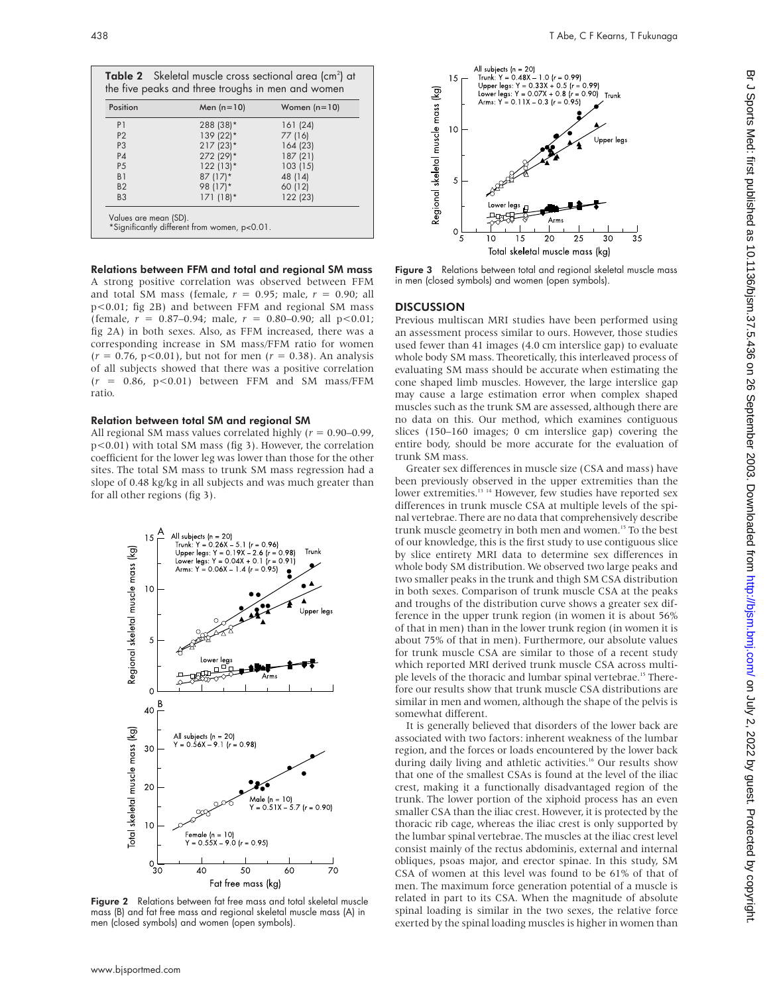| Position       | Men $(n=10)$ | Women $(n=10)$ |
|----------------|--------------|----------------|
| P <sub>1</sub> | 288 (38)*    | 161 (24)       |
| P <sub>2</sub> | 139 (22)*    | 77 (16)        |
| P <sub>3</sub> | $217(23)$ *  | 164 (23)       |
| P <sub>4</sub> | 272 (29)*    | 187(21)        |
| <b>P5</b>      | $122(13)*$   | 103(15)        |
| B <sub>1</sub> | $87(17)*$    | 48 (14)        |
| B <sub>2</sub> | 98 (17)*     | 60 (12)        |
| B <sub>3</sub> | $171(18)*$   | 122 (23)       |

Relations between FFM and total and regional SM mass A strong positive correlation was observed between FFM and total SM mass (female,  $r = 0.95$ ; male,  $r = 0.90$ ; all p<0.01; fig 2B) and between FFM and regional SM mass (female, *r* = 0.87–0.94; male, *r* = 0.80–0.90; all p<0.01; fig 2A) in both sexes. Also, as FFM increased, there was a corresponding increase in SM mass/FFM ratio for women  $(r = 0.76, p < 0.01)$ , but not for men  $(r = 0.38)$ . An analysis of all subjects showed that there was a positive correlation  $(r = 0.86, p < 0.01)$  between FFM and SM mass/FFM ratio.

#### Relation between total SM and regional SM

All regional SM mass values correlated highly (*r* = 0.90–0.99, p<0.01) with total SM mass (fig 3). However, the correlation coefficient for the lower leg was lower than those for the other sites. The total SM mass to trunk SM mass regression had a slope of 0.48 kg/kg in all subjects and was much greater than for all other regions (fig 3).



Figure 2 Relations between fat free mass and total skeletal muscle mass (B) and fat free mass and regional skeletal muscle mass (A) in men (closed symbols) and women (open symbols).



Figure 3 Relations between total and regional skeletal muscle mass in men (closed symbols) and women (open symbols).

#### **DISCUSSION**

Previous multiscan MRI studies have been performed using an assessment process similar to ours. However, those studies used fewer than 41 images (4.0 cm interslice gap) to evaluate whole body SM mass. Theoretically, this interleaved process of evaluating SM mass should be accurate when estimating the cone shaped limb muscles. However, the large interslice gap may cause a large estimation error when complex shaped muscles such as the trunk SM are assessed, although there are no data on this. Our method, which examines contiguous slices (150–160 images; 0 cm interslice gap) covering the entire body, should be more accurate for the evaluation of trunk SM mass.

Greater sex differences in muscle size (CSA and mass) have been previously observed in the upper extremities than the lower extremities.<sup>13 14</sup> However, few studies have reported sex differences in trunk muscle CSA at multiple levels of the spinal vertebrae. There are no data that comprehensively describe trunk muscle geometry in both men and women.15 To the best of our knowledge, this is the first study to use contiguous slice by slice entirety MRI data to determine sex differences in whole body SM distribution. We observed two large peaks and two smaller peaks in the trunk and thigh SM CSA distribution in both sexes. Comparison of trunk muscle CSA at the peaks and troughs of the distribution curve shows a greater sex difference in the upper trunk region (in women it is about 56% of that in men) than in the lower trunk region (in women it is about 75% of that in men). Furthermore, our absolute values for trunk muscle CSA are similar to those of a recent study which reported MRI derived trunk muscle CSA across multiple levels of the thoracic and lumbar spinal vertebrae.<sup>15</sup> Therefore our results show that trunk muscle CSA distributions are similar in men and women, although the shape of the pelvis is somewhat different.

It is generally believed that disorders of the lower back are associated with two factors: inherent weakness of the lumbar region, and the forces or loads encountered by the lower back during daily living and athletic activities.<sup>16</sup> Our results show that one of the smallest CSAs is found at the level of the iliac crest, making it a functionally disadvantaged region of the trunk. The lower portion of the xiphoid process has an even smaller CSA than the iliac crest. However, it is protected by the thoracic rib cage, whereas the iliac crest is only supported by the lumbar spinal vertebrae. The muscles at the iliac crest level consist mainly of the rectus abdominis, external and internal obliques, psoas major, and erector spinae. In this study, SM CSA of women at this level was found to be 61% of that of men. The maximum force generation potential of a muscle is related in part to its CSA. When the magnitude of absolute spinal loading is similar in the two sexes, the relative force exerted by the spinal loading muscles is higher in women than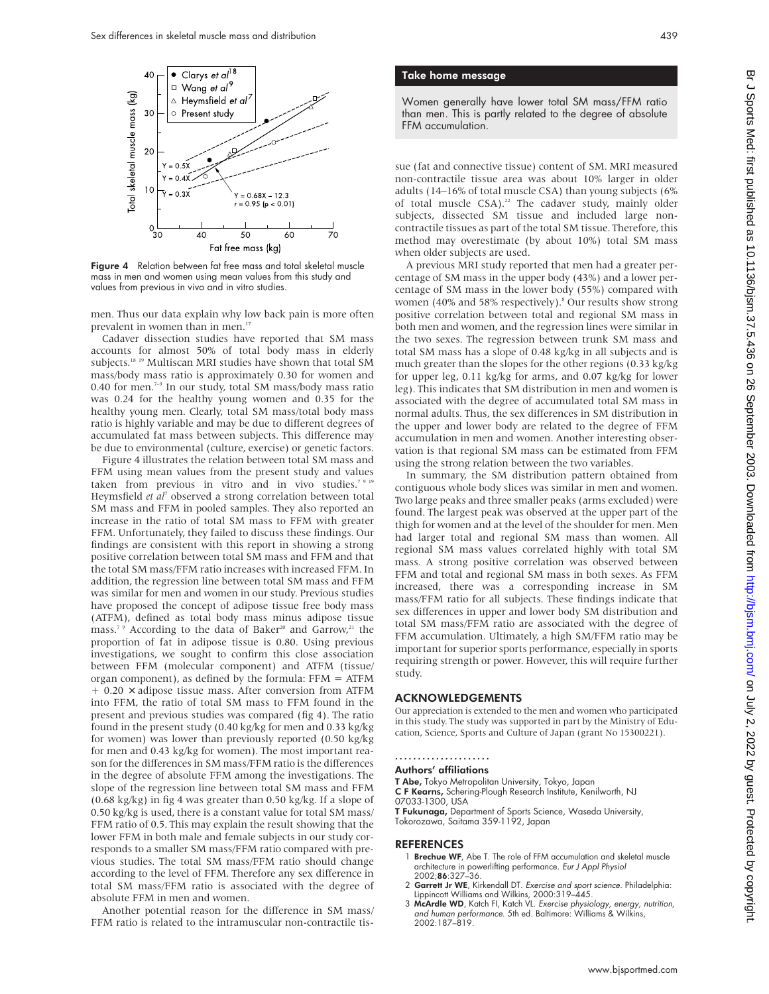

Figure 4 Relation between fat free mass and total skeletal muscle mass in men and women using mean values from this study and values from previous in vivo and in vitro studies.

men. Thus our data explain why low back pain is more often prevalent in women than in men.<sup>17</sup>

Cadaver dissection studies have reported that SM mass accounts for almost 50% of total body mass in elderly subjects.18 19 Multiscan MRI studies have shown that total SM mass/body mass ratio is approximately 0.30 for women and 0.40 for men.<sup>7-9</sup> In our study, total SM mass/body mass ratio was 0.24 for the healthy young women and 0.35 for the healthy young men. Clearly, total SM mass/total body mass ratio is highly variable and may be due to different degrees of accumulated fat mass between subjects. This difference may be due to environmental (culture, exercise) or genetic factors.

Figure 4 illustrates the relation between total SM mass and FFM using mean values from the present study and values taken from previous in vitro and in vivo studies.<sup>75</sup> Heymsfield *et al*<sup>7</sup> observed a strong correlation between total SM mass and FFM in pooled samples. They also reported an increase in the ratio of total SM mass to FFM with greater FFM. Unfortunately, they failed to discuss these findings. Our findings are consistent with this report in showing a strong positive correlation between total SM mass and FFM and that the total SM mass/FFM ratio increases with increased FFM. In addition, the regression line between total SM mass and FFM was similar for men and women in our study. Previous studies have proposed the concept of adipose tissue free body mass (ATFM), defined as total body mass minus adipose tissue mass.<sup>7,9</sup> According to the data of Baker<sup>20</sup> and Garrow,<sup>21</sup> the proportion of fat in adipose tissue is 0.80. Using previous investigations, we sought to confirm this close association between FFM (molecular component) and ATFM (tissue/ organ component), as defined by the formula: FFM = ATFM + 0.20 × adipose tissue mass. After conversion from ATFM into FFM, the ratio of total SM mass to FFM found in the present and previous studies was compared (fig 4). The ratio found in the present study (0.40 kg/kg for men and 0.33 kg/kg for women) was lower than previously reported (0.50 kg/kg for men and 0.43 kg/kg for women). The most important reason for the differences in SM mass/FFM ratio is the differences in the degree of absolute FFM among the investigations. The slope of the regression line between total SM mass and FFM (0.68 kg/kg) in fig 4 was greater than 0.50 kg/kg. If a slope of 0.50 kg/kg is used, there is a constant value for total SM mass/ FFM ratio of 0.5. This may explain the result showing that the lower FFM in both male and female subjects in our study corresponds to a smaller SM mass/FFM ratio compared with previous studies. The total SM mass/FFM ratio should change according to the level of FFM. Therefore any sex difference in total SM mass/FFM ratio is associated with the degree of absolute FFM in men and women.

Another potential reason for the difference in SM mass/ FFM ratio is related to the intramuscular non-contractile tis-

#### Take home message

Women generally have lower total SM mass/FFM ratio than men. This is partly related to the degree of absolute FFM accumulation.

sue (fat and connective tissue) content of SM. MRI measured non-contractile tissue area was about 10% larger in older adults (14–16% of total muscle CSA) than young subjects (6% of total muscle CSA).<sup>22</sup> The cadaver study, mainly older subjects, dissected SM tissue and included large noncontractile tissues as part of the total SM tissue. Therefore, this method may overestimate (by about 10%) total SM mass when older subjects are used.

A previous MRI study reported that men had a greater percentage of SM mass in the upper body (43%) and a lower percentage of SM mass in the lower body (55%) compared with women (40% and 58% respectively).<sup>8</sup> Our results show strong positive correlation between total and regional SM mass in both men and women, and the regression lines were similar in the two sexes. The regression between trunk SM mass and total SM mass has a slope of 0.48 kg/kg in all subjects and is much greater than the slopes for the other regions (0.33 kg/kg for upper leg, 0.11 kg/kg for arms, and 0.07 kg/kg for lower leg). This indicates that SM distribution in men and women is associated with the degree of accumulated total SM mass in normal adults. Thus, the sex differences in SM distribution in the upper and lower body are related to the degree of FFM accumulation in men and women. Another interesting observation is that regional SM mass can be estimated from FFM using the strong relation between the two variables.

In summary, the SM distribution pattern obtained from contiguous whole body slices was similar in men and women. Two large peaks and three smaller peaks (arms excluded) were found. The largest peak was observed at the upper part of the thigh for women and at the level of the shoulder for men. Men had larger total and regional SM mass than women. All regional SM mass values correlated highly with total SM mass. A strong positive correlation was observed between FFM and total and regional SM mass in both sexes. As FFM increased, there was a corresponding increase in SM mass/FFM ratio for all subjects. These findings indicate that sex differences in upper and lower body SM distribution and total SM mass/FFM ratio are associated with the degree of FFM accumulation. Ultimately, a high SM/FFM ratio may be important for superior sports performance, especially in sports requiring strength or power. However, this will require further study.

#### ACKNOWLEDGEMENTS

Our appreciation is extended to the men and women who participated in this study. The study was supported in part by the Ministry of Education, Science, Sports and Culture of Japan (grant No 15300221).

## .....................

Authors' affiliations T Abe, Tokyo Metropolitan University, Tokyo, Japan C F Kearns, Schering-Plough Research Institute, Kenilworth, NJ 07033-1300, USA T Fukunaga, Department of Sports Science, Waseda University,

Tokorozawa, Saitama 359-1192, Japan

#### REFERENCES

- 1 Brechue WF, Abe T. The role of FFM accumulation and skeletal muscle architecture in powerlifting performance. *Eur J Appl Physiol*<br>2002;**86**:327–36.
- 2 Garrett Jr WE, Kirkendall DT. Exercise and sport science. Philadelphia: Lippincott Williams and Wilkins, 2000:319–445.
- 3 McArdle WD, Katch FI, Katch VL. Exercise physiology, energy, nutrition, and human performance. 5th ed. Baltimore: Williams & Wilkins, 2002:187–819.